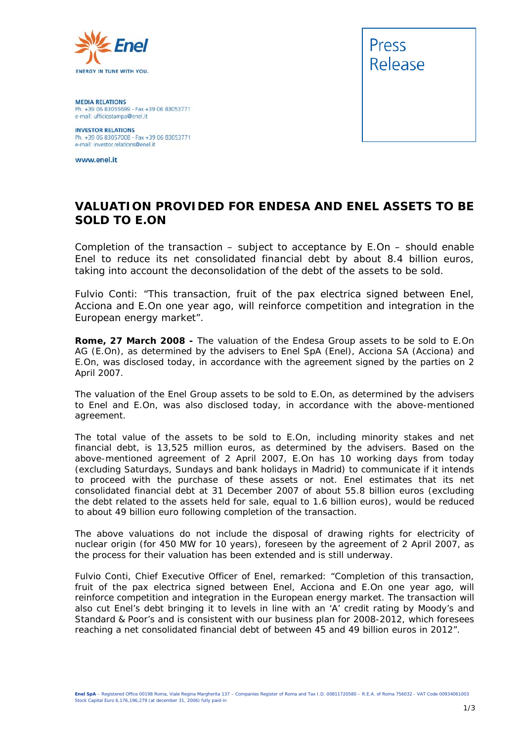

**MEDIA RELATIONS** Ph. +39 06 83055699 - Fax +39 06 83053771 e-mail: ufficiostampa@enel.it

**INVESTOR RELATIONS**<br>Ph. +39 06 83057008 - Fax +39 06 83053771 e-mail: investor.relations@enel.it

www.enel.it



## **VALUATION PROVIDED FOR ENDESA AND ENEL ASSETS TO BE SOLD TO E.ON**

*Completion of the transaction – subject to acceptance by E.On – should enable Enel to reduce its net consolidated financial debt by about 8.4 billion euros, taking into account the deconsolidation of the debt of the assets to be sold.*

*Fulvio Conti: "This transaction, fruit of the* pax electrica *signed between Enel, Acciona and E.On one year ago, will reinforce competition and integration in the European energy market".*

**Rome, 27 March 2008 -** The valuation of the Endesa Group assets to be sold to E.On AG (E.On), as determined by the advisers to Enel SpA (Enel), Acciona SA (Acciona) and E.On, was disclosed today, in accordance with the agreement signed by the parties on 2 April 2007.

The valuation of the Enel Group assets to be sold to E.On, as determined by the advisers to Enel and E.On, was also disclosed today, in accordance with the above-mentioned agreement.

The total value of the assets to be sold to E.On, including minority stakes and net financial debt, is 13,525 million euros, as determined by the advisers. Based on the above-mentioned agreement of 2 April 2007, E.On has 10 working days from today (excluding Saturdays, Sundays and bank holidays in Madrid) to communicate if it intends to proceed with the purchase of these assets or not. Enel estimates that its net consolidated financial debt at 31 December 2007 of about 55.8 billion euros (excluding the debt related to the assets held for sale, equal to 1.6 billion euros), would be reduced to about 49 billion euro following completion of the transaction.

The above valuations do not include the disposal of drawing rights for electricity of nuclear origin (for 450 MW for 10 years), foreseen by the agreement of 2 April 2007, as the process for their valuation has been extended and is still underway.

Fulvio Conti, Chief Executive Officer of Enel, remarked: "Completion of this transaction, fruit of the *pax electrica* signed between Enel, Acciona and E.On one year ago, will reinforce competition and integration in the European energy market. The transaction will also cut Enel's debt bringing it to levels in line with an 'A' credit rating by Moody's and Standard & Poor's and is consistent with our business plan for 2008-2012, which foresees reaching a net consolidated financial debt of between 45 and 49 billion euros in 2012".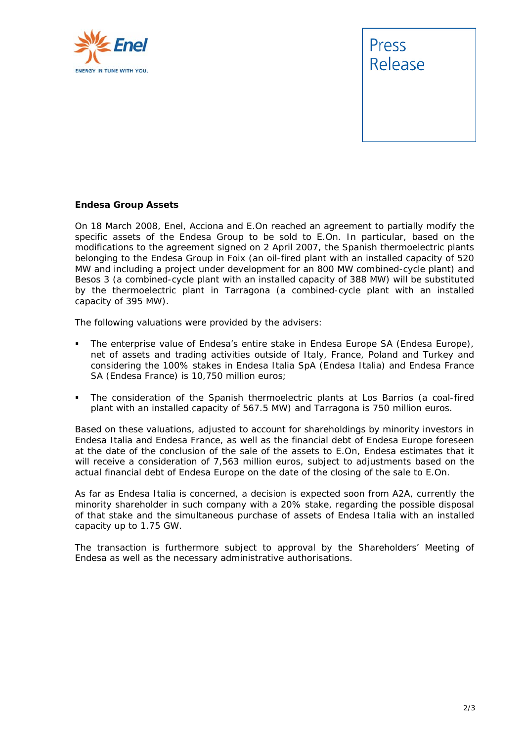



## **Endesa Group Assets**

On 18 March 2008, Enel, Acciona and E.On reached an agreement to partially modify the specific assets of the Endesa Group to be sold to E.On. In particular, based on the modifications to the agreement signed on 2 April 2007, the Spanish thermoelectric plants belonging to the Endesa Group in Foix (an oil-fired plant with an installed capacity of 520 MW and including a project under development for an 800 MW combined-cycle plant) and Besos 3 (a combined-cycle plant with an installed capacity of 388 MW) will be substituted by the thermoelectric plant in Tarragona (a combined-cycle plant with an installed capacity of 395 MW).

The following valuations were provided by the advisers:

- The enterprise value of Endesa's entire stake in Endesa Europe SA (Endesa Europe), net of assets and trading activities outside of Italy, France, Poland and Turkey and considering the 100% stakes in Endesa Italia SpA (Endesa Italia) and Endesa France SA (Endesa France) is 10,750 million euros;
- The consideration of the Spanish thermoelectric plants at Los Barrios (a coal-fired plant with an installed capacity of 567.5 MW) and Tarragona is 750 million euros.

Based on these valuations, adjusted to account for shareholdings by minority investors in Endesa Italia and Endesa France, as well as the financial debt of Endesa Europe foreseen at the date of the conclusion of the sale of the assets to E.On, Endesa estimates that it will receive a consideration of 7,563 million euros, subject to adjustments based on the actual financial debt of Endesa Europe on the date of the closing of the sale to E.On.

As far as Endesa Italia is concerned, a decision is expected soon from A2A, currently the minority shareholder in such company with a 20% stake, regarding the possible disposal of that stake and the simultaneous purchase of assets of Endesa Italia with an installed capacity up to 1.75 GW.

The transaction is furthermore subject to approval by the Shareholders' Meeting of Endesa as well as the necessary administrative authorisations.